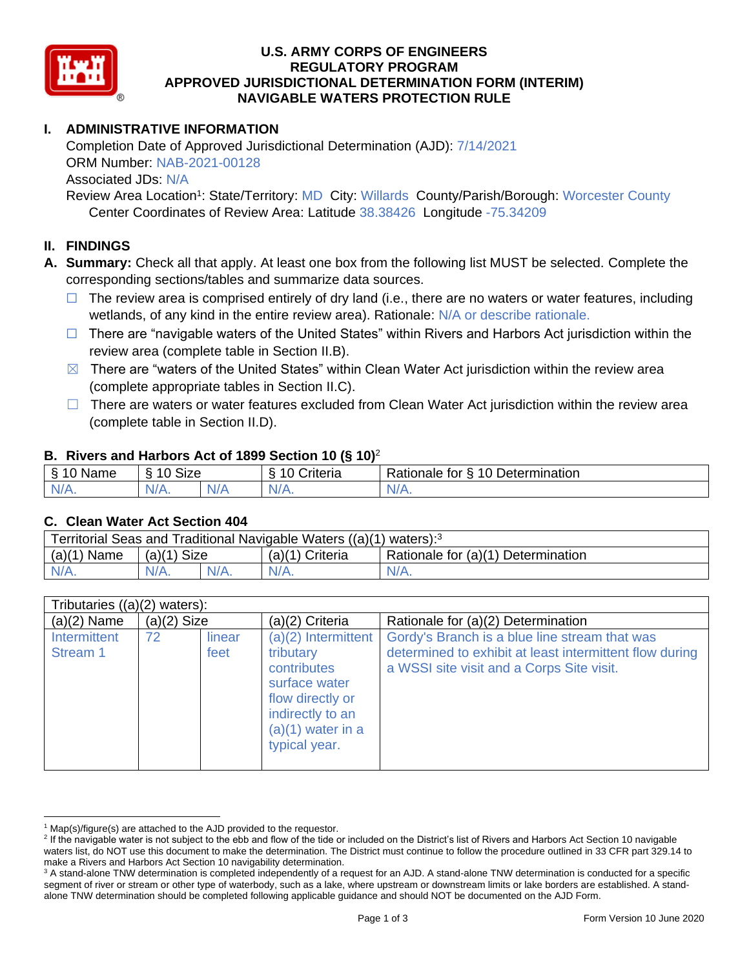

### **U.S. ARMY CORPS OF ENGINEERS REGULATORY PROGRAM APPROVED JURISDICTIONAL DETERMINATION FORM (INTERIM) NAVIGABLE WATERS PROTECTION RULE**

# **I. ADMINISTRATIVE INFORMATION**

Completion Date of Approved Jurisdictional Determination (AJD): 7/14/2021 ORM Number: NAB-2021-00128 Associated JDs: N/A

Review Area Location<sup>1</sup>: State/Territory: MD City: Willards County/Parish/Borough: Worcester County Center Coordinates of Review Area: Latitude 38.38426 Longitude -75.34209

### **II. FINDINGS**

**A. Summary:** Check all that apply. At least one box from the following list MUST be selected. Complete the corresponding sections/tables and summarize data sources.

- $\Box$  The review area is comprised entirely of dry land (i.e., there are no waters or water features, including wetlands, of any kind in the entire review area). Rationale: N/A or describe rationale.
- $\Box$  There are "navigable waters of the United States" within Rivers and Harbors Act jurisdiction within the review area (complete table in Section II.B).
- $\boxtimes$  There are "waters of the United States" within Clean Water Act jurisdiction within the review area (complete appropriate tables in Section II.C).
- $\Box$  There are waters or water features excluded from Clean Water Act jurisdiction within the review area (complete table in Section II.D).

#### **B. Rivers and Harbors Act of 1899 Section 10 (§ 10)**<sup>2</sup>

| <sub>S</sub><br>$\sim$<br>Name<br>u | <b>Size</b><br>$\sim$<br>. .<br>c |     | $\sim$<br>$\overline{\phantom{a}}$<br>`riteria | 10<br>Determination<br>-<br>∢ationale<br>tor |
|-------------------------------------|-----------------------------------|-----|------------------------------------------------|----------------------------------------------|
| $N/A$ .                             | $N/A$ .                           | N/F | N/A.                                           | N/A.                                         |

#### **C. Clean Water Act Section 404**

| Territorial Seas and Traditional Navigable Waters $((a)(1)$ waters): <sup>3</sup> |                |         |                   |                                    |  |
|-----------------------------------------------------------------------------------|----------------|---------|-------------------|------------------------------------|--|
| (a)(1)<br>Name                                                                    | Size<br>(a)(1) |         | $(a)(1)$ Criteria | Rationale for (a)(1) Determination |  |
| IV/A.                                                                             | $N/A$ .        | $N/A$ . | $N/A$ .           | $N/A$ .                            |  |

| Tributaries $((a)(2)$ waters): |               |                |                                                                                                                                                    |                                                                                                                                                       |
|--------------------------------|---------------|----------------|----------------------------------------------------------------------------------------------------------------------------------------------------|-------------------------------------------------------------------------------------------------------------------------------------------------------|
| $(a)(2)$ Name                  | $(a)(2)$ Size |                | (a)(2) Criteria                                                                                                                                    | Rationale for (a)(2) Determination                                                                                                                    |
| Intermittent<br>Stream 1       | 72            | linear<br>feet | $(a)(2)$ Intermittent<br>tributary<br>contributes<br>surface water<br>flow directly or<br>indirectly to an<br>$(a)(1)$ water in a<br>typical year. | Gordy's Branch is a blue line stream that was<br>determined to exhibit at least intermittent flow during<br>a WSSI site visit and a Corps Site visit. |

 $1$  Map(s)/figure(s) are attached to the AJD provided to the requestor.

<sup>&</sup>lt;sup>2</sup> If the navigable water is not subject to the ebb and flow of the tide or included on the District's list of Rivers and Harbors Act Section 10 navigable waters list, do NOT use this document to make the determination. The District must continue to follow the procedure outlined in 33 CFR part 329.14 to make a Rivers and Harbors Act Section 10 navigability determination.

<sup>&</sup>lt;sup>3</sup> A stand-alone TNW determination is completed independently of a request for an AJD. A stand-alone TNW determination is conducted for a specific segment of river or stream or other type of waterbody, such as a lake, where upstream or downstream limits or lake borders are established. A standalone TNW determination should be completed following applicable guidance and should NOT be documented on the AJD Form.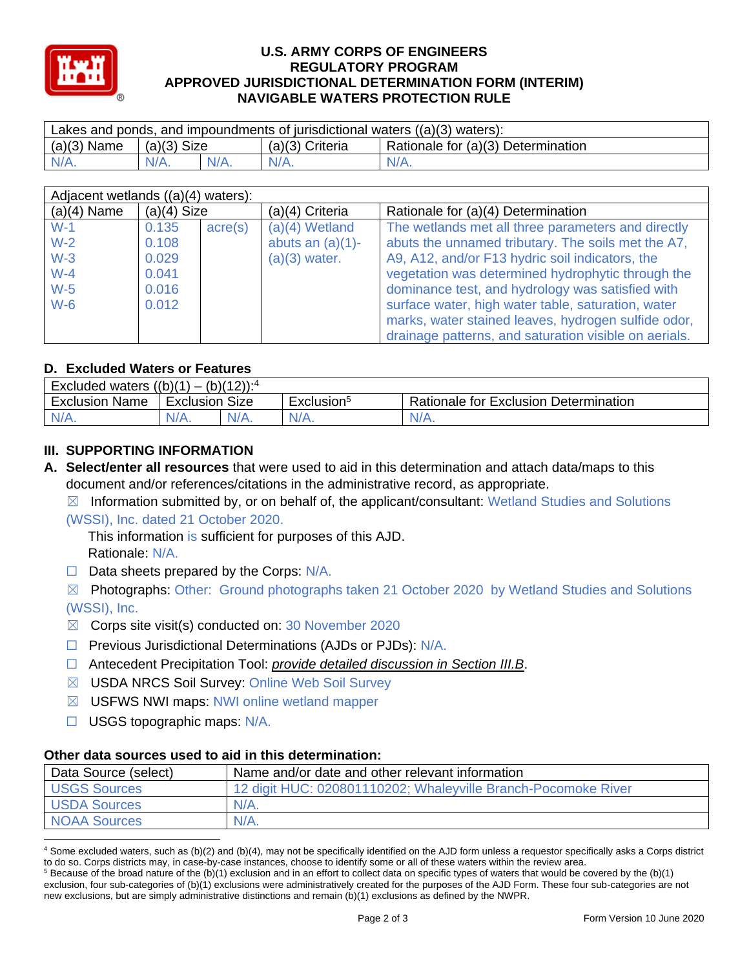

### **U.S. ARMY CORPS OF ENGINEERS REGULATORY PROGRAM APPROVED JURISDICTIONAL DETERMINATION FORM (INTERIM) NAVIGABLE WATERS PROTECTION RULE**

| Lakes and ponds, and impoundments of jurisdictional waters $((a)(3)$ waters): |               |  |                   |                                    |  |
|-------------------------------------------------------------------------------|---------------|--|-------------------|------------------------------------|--|
| $(a)(3)$ Name                                                                 | $(a)(3)$ Size |  | $(a)(3)$ Criteria | Rationale for (a)(3) Determination |  |
| $N/A$ .                                                                       | $N/A$ .       |  | $N/A$ .           | $N/A$ .                            |  |

| Adjacent wetlands ((a)(4) waters): |               |                  |                     |                                                       |
|------------------------------------|---------------|------------------|---------------------|-------------------------------------------------------|
| $(a)(4)$ Name                      | $(a)(4)$ Size |                  | $(a)(4)$ Criteria   | Rationale for (a)(4) Determination                    |
| $W-1$                              | 0.135         | $\text{acre}(s)$ | $(a)(4)$ Wetland    | The wetlands met all three parameters and directly    |
| $W-2$                              | 0.108         |                  | abuts an $(a)(1)$ - | abuts the unnamed tributary. The soils met the A7,    |
| $W-3$                              | 0.029         |                  | $(a)(3)$ water.     | A9, A12, and/or F13 hydric soil indicators, the       |
| $W-4$                              | 0.041         |                  |                     | vegetation was determined hydrophytic through the     |
| $W-5$                              | 0.016         |                  |                     | dominance test, and hydrology was satisfied with      |
| $W-6$                              | 0.012         |                  |                     | surface water, high water table, saturation, water    |
|                                    |               |                  |                     | marks, water stained leaves, hydrogen sulfide odor,   |
|                                    |               |                  |                     | drainage patterns, and saturation visible on aerials. |

### **D. Excluded Waters or Features**

| $(b)(12))$ : <sup>4</sup><br>Excluded waters $((b)(1))$<br>$\overline{\phantom{0}}$ |                   |         |                        |                                       |
|-------------------------------------------------------------------------------------|-------------------|---------|------------------------|---------------------------------------|
| Exclusion<br>Name                                                                   | Size<br>Exclusion |         | Exclusion <sup>5</sup> | Rationale for Exclusion Determination |
| IV/A.                                                                               | N/A.              | $N/A$ . | $N/A$ .                | N/A.                                  |

# **III. SUPPORTING INFORMATION**

**A. Select/enter all resources** that were used to aid in this determination and attach data/maps to this document and/or references/citations in the administrative record, as appropriate.

 $\boxtimes$  Information submitted by, or on behalf of, the applicant/consultant: Wetland Studies and Solutions (WSSI), Inc. dated 21 October 2020.

This information is sufficient for purposes of this AJD. Rationale: N/A.

 $\Box$  Data sheets prepared by the Corps:  $N/A$ .

☒ Photographs: Other: Ground photographs taken 21 October 2020 by Wetland Studies and Solutions (WSSI), Inc.

- $\boxtimes$  Corps site visit(s) conducted on: 30 November 2020
- □ Previous Jurisdictional Determinations (AJDs or PJDs): N/A.
- ☐ Antecedent Precipitation Tool: *provide detailed discussion in Section III.B*.
- ☒ USDA NRCS Soil Survey: Online Web Soil Survey
- ☒ USFWS NWI maps: NWI online wetland mapper
- ☐ USGS topographic maps: N/A.

# **Other data sources used to aid in this determination:**

| Data Source (select) | Name and/or date and other relevant information               |
|----------------------|---------------------------------------------------------------|
| <b>USGS Sources</b>  | 12 digit HUC: 020801110202; Whaleyville Branch-Pocomoke River |
| <b>USDA Sources</b>  | $N/A$ .                                                       |
| <b>NOAA Sources</b>  | $N/A$ .                                                       |

<sup>4</sup> Some excluded waters, such as (b)(2) and (b)(4), may not be specifically identified on the AJD form unless a requestor specifically asks a Corps district to do so. Corps districts may, in case-by-case instances, choose to identify some or all of these waters within the review area.

 $5$  Because of the broad nature of the (b)(1) exclusion and in an effort to collect data on specific types of waters that would be covered by the (b)(1) exclusion, four sub-categories of (b)(1) exclusions were administratively created for the purposes of the AJD Form. These four sub-categories are not new exclusions, but are simply administrative distinctions and remain (b)(1) exclusions as defined by the NWPR.